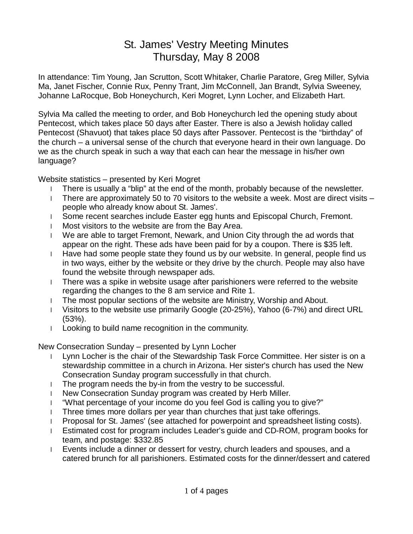## St. James' Vestry Meeting Minutes Thursday, May 8 2008

In attendance: Tim Young, Jan Scrutton, Scott Whitaker, Charlie Paratore, Greg Miller, Sylvia Ma, Janet Fischer, Connie Rux, Penny Trant, Jim McConnell, Jan Brandt, Sylvia Sweeney, Johanne LaRocque, Bob Honeychurch, Keri Mogret, Lynn Locher, and Elizabeth Hart.

Sylvia Ma called the meeting to order, and Bob Honeychurch led the opening study about Pentecost, which takes place 50 days after Easter. There is also a Jewish holiday called Pentecost (Shavuot) that takes place 50 days after Passover. Pentecost is the "birthday" of the church – a universal sense of the church that everyone heard in their own language. Do we as the church speak in such a way that each can hear the message in his/her own language?

Website statistics – presented by Keri Mogret

- l There is usually a "blip" at the end of the month, probably because of the newsletter.
- I There are approximately 50 to 70 visitors to the website a week. Most are direct visits  $$ people who already know about St. James'.
- l Some recent searches include Easter egg hunts and Episcopal Church, Fremont.
- l Most visitors to the website are from the Bay Area.
- l We are able to target Fremont, Newark, and Union City through the ad words that appear on the right. These ads have been paid for by a coupon. There is \$35 left.
- l Have had some people state they found us by our website. In general, people find us in two ways, either by the website or they drive by the church. People may also have found the website through newspaper ads.
- l There was a spike in website usage after parishioners were referred to the website regarding the changes to the 8 am service and Rite 1.
- l The most popular sections of the website are Ministry, Worship and About.
- l Visitors to the website use primarily Google (20-25%), Yahoo (6-7%) and direct URL (53%).
- l Looking to build name recognition in the community.

New Consecration Sunday – presented by Lynn Locher

- l Lynn Locher is the chair of the Stewardship Task Force Committee. Her sister is on a stewardship committee in a church in Arizona. Her sister's church has used the New Consecration Sunday program successfully in that church.
- l The program needs the by-in from the vestry to be successful.
- l New Consecration Sunday program was created by Herb Miller.
- l "What percentage of your income do you feel God is calling you to give?"
- l Three times more dollars per year than churches that just take offerings.
- l Proposal for St. James' (see attached for powerpoint and spreadsheet listing costs).
- l Estimated cost for program includes Leader's guide and CD-ROM, program books for team, and postage: \$332.85
- l Events include a dinner or dessert for vestry, church leaders and spouses, and a catered brunch for all parishioners. Estimated costs for the dinner/dessert and catered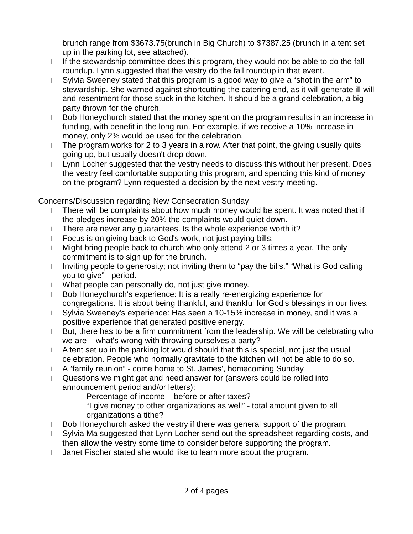brunch range from \$3673.75(brunch in Big Church) to \$7387.25 (brunch in a tent set up in the parking lot, see attached).

- l If the stewardship committee does this program, they would not be able to do the fall roundup. Lynn suggested that the vestry do the fall roundup in that event.
- l Sylvia Sweeney stated that this program is a good way to give a "shot in the arm" to stewardship. She warned against shortcutting the catering end, as it will generate ill will and resentment for those stuck in the kitchen. It should be a grand celebration, a big party thrown for the church.
- l Bob Honeychurch stated that the money spent on the program results in an increase in funding, with benefit in the long run. For example, if we receive a 10% increase in money, only 2% would be used for the celebration.
- l The program works for 2 to 3 years in a row. After that point, the giving usually quits going up, but usually doesn't drop down.
- l Lynn Locher suggested that the vestry needs to discuss this without her present. Does the vestry feel comfortable supporting this program, and spending this kind of money on the program? Lynn requested a decision by the next vestry meeting.

Concerns/Discussion regarding New Consecration Sunday

- l There will be complaints about how much money would be spent. It was noted that if the pledges increase by 20% the complaints would quiet down.
- l There are never any guarantees. Is the whole experience worth it?
- l Focus is on giving back to God's work, not just paying bills.
- l Might bring people back to church who only attend 2 or 3 times a year. The only commitment is to sign up for the brunch.
- I Inviting people to generosity; not inviting them to "pay the bills." "What is God calling you to give" - period.
- l What people can personally do, not just give money.
- l Bob Honeychurch's experience: It is a really re-energizing experience for congregations. It is about being thankful, and thankful for God's blessings in our lives.
- l Sylvia Sweeney's experience: Has seen a 10-15% increase in money, and it was a positive experience that generated positive energy.
- l But, there has to be a firm commitment from the leadership. We will be celebrating who we are – what's wrong with throwing ourselves a party?
- l A tent set up in the parking lot would should that this is special, not just the usual celebration. People who normally gravitate to the kitchen will not be able to do so.
- l A "family reunion" come home to St. James', homecoming Sunday
- l Questions we might get and need answer for (answers could be rolled into announcement period and/or letters):
	- l Percentage of income before or after taxes?
	- l "I give money to other organizations as well" total amount given to all organizations a tithe?
- l Bob Honeychurch asked the vestry if there was general support of the program.
- l Sylvia Ma suggested that Lynn Locher send out the spreadsheet regarding costs, and then allow the vestry some time to consider before supporting the program.
- l Janet Fischer stated she would like to learn more about the program.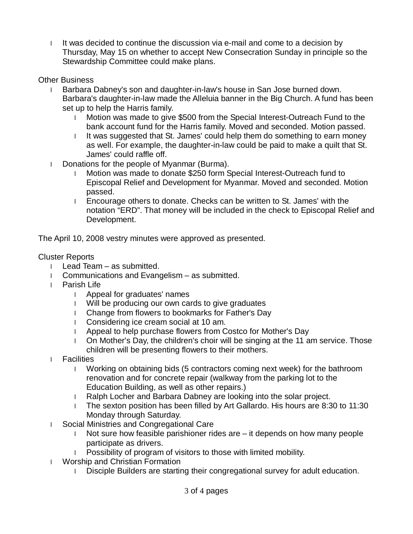l It was decided to continue the discussion via e-mail and come to a decision by Thursday, May 15 on whether to accept New Consecration Sunday in principle so the Stewardship Committee could make plans.

## Other Business

- l Barbara Dabney's son and daughter-in-law's house in San Jose burned down. Barbara's daughter-in-law made the Alleluia banner in the Big Church. A fund has been set up to help the Harris family.
	- l Motion was made to give \$500 from the Special Interest-Outreach Fund to the bank account fund for the Harris family. Moved and seconded. Motion passed.
	- I It was suggested that St. James' could help them do something to earn money as well. For example, the daughter-in-law could be paid to make a quilt that St. James' could raffle off.
- l Donations for the people of Myanmar (Burma).
	- l Motion was made to donate \$250 form Special Interest-Outreach fund to Episcopal Relief and Development for Myanmar. Moved and seconded. Motion passed.
	- l Encourage others to donate. Checks can be written to St. James' with the notation "ERD". That money will be included in the check to Episcopal Relief and Development.

The April 10, 2008 vestry minutes were approved as presented.

## Cluster Reports

- l Lead Team as submitted.
- l Communications and Evangelism as submitted.
- l Parish Life
	- l Appeal for graduates' names
	- l Will be producing our own cards to give graduates
	- l Change from flowers to bookmarks for Father's Day
	- l Considering ice cream social at 10 am.
	- l Appeal to help purchase flowers from Costco for Mother's Day
	- l On Mother's Day, the children's choir will be singing at the 11 am service. Those children will be presenting flowers to their mothers.
- l Facilities
	- l Working on obtaining bids (5 contractors coming next week) for the bathroom renovation and for concrete repair (walkway from the parking lot to the Education Building, as well as other repairs.)
	- l Ralph Locher and Barbara Dabney are looking into the solar project.
	- l The sexton position has been filled by Art Gallardo. His hours are 8:30 to 11:30 Monday through Saturday.
- l Social Ministries and Congregational Care
	- l Not sure how feasible parishioner rides are it depends on how many people participate as drivers.
	- l Possibility of program of visitors to those with limited mobility.
- l Worship and Christian Formation
	- l Disciple Builders are starting their congregational survey for adult education.